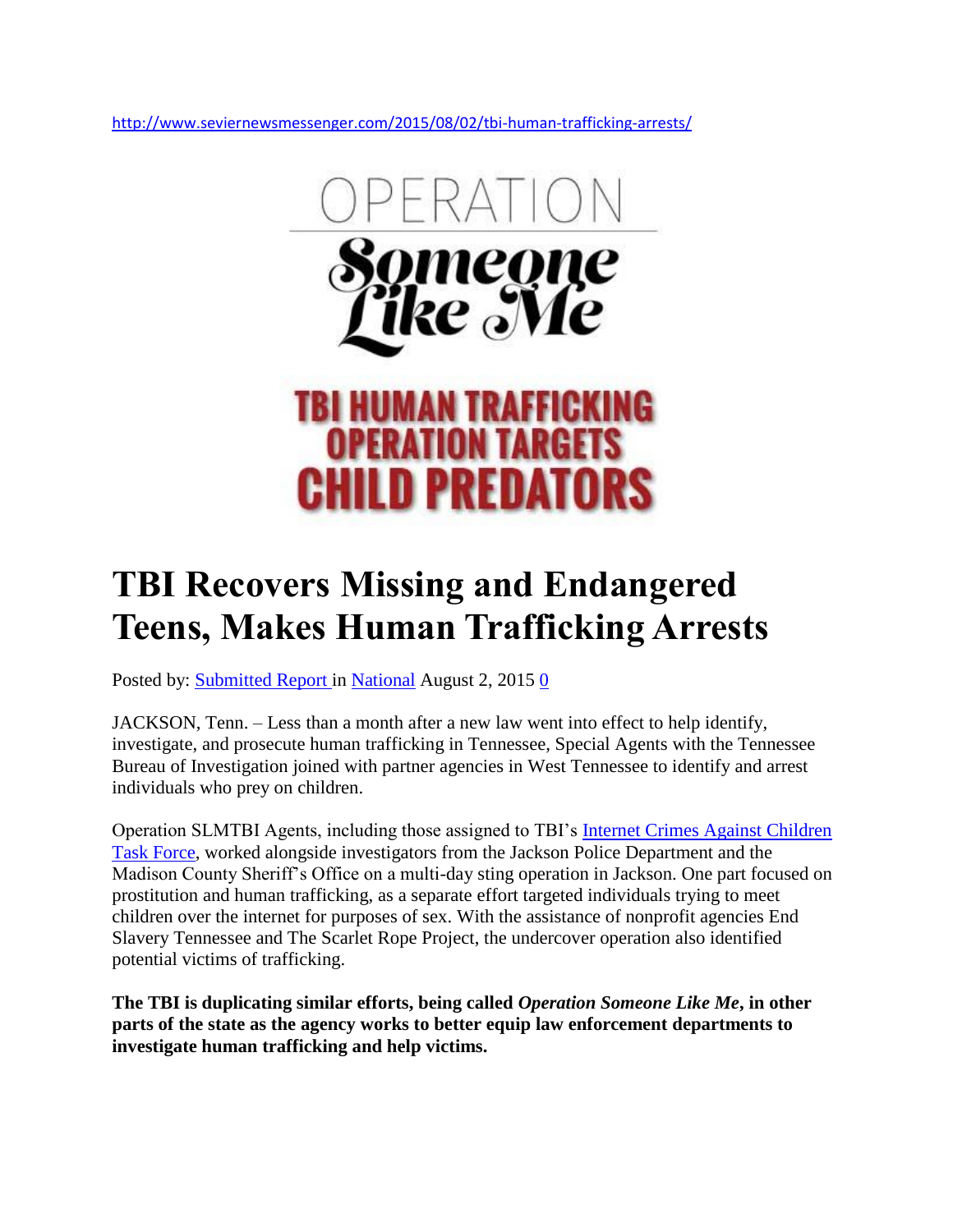<http://www.seviernewsmessenger.com/2015/08/02/tbi-human-trafficking-arrests/>



## **TBI Recovers Missing and Endangered Teens, Makes Human Trafficking Arrests**

Posted by: [Submitted Report i](http://www.seviernewsmessenger.com/author/submitted-report/)n [National](http://www.seviernewsmessenger.com/category/national/) August 2, 2015 [0](http://www.seviernewsmessenger.com/2015/08/02/tbi-human-trafficking-arrests/#respond)

JACKSON, Tenn. – Less than a month after a new law went into effect to help identify, investigate, and prosecute human trafficking in Tennessee, Special Agents with the Tennessee Bureau of Investigation joined with partner agencies in West Tennessee to identify and arrest individuals who prey on children.

Operation SLMTBI Agents, including those assigned to TBI's [Internet Crimes Against Children](http://www.tnicac.org/)  [Task Force,](http://www.tnicac.org/) worked alongside investigators from the Jackson Police Department and the Madison County Sheriff's Office on a multi-day sting operation in Jackson. One part focused on prostitution and human trafficking, as a separate effort targeted individuals trying to meet children over the internet for purposes of sex. With the assistance of nonprofit agencies End Slavery Tennessee and The Scarlet Rope Project, the undercover operation also identified potential victims of trafficking.

**The TBI is duplicating similar efforts, being called** *Operation Someone Like Me***, in other parts of the state as the agency works to better equip law enforcement departments to investigate human trafficking and help victims.**